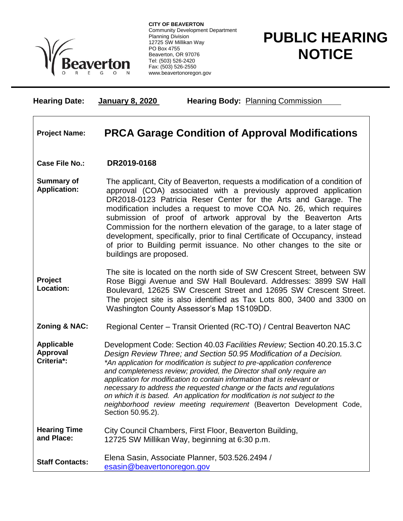

**CITY OF BEAVERTON** Community Development Department Planning Division 12725 SW Millikan Way PO Box 4755 Beaverton, OR 97076 Tel: (503) 526-2420 Fax: (503) 526-2550 www.beavertonoregon.gov

## **PUBLIC HEARING NOTICE**

| <b>Hearing Date:</b>                        | January 8, 2020<br><b>Hearing Body: Planning Commission</b>                                                                                                                                                                                                                                                                                                                                                                                                                                                                                                                                                                          |
|---------------------------------------------|--------------------------------------------------------------------------------------------------------------------------------------------------------------------------------------------------------------------------------------------------------------------------------------------------------------------------------------------------------------------------------------------------------------------------------------------------------------------------------------------------------------------------------------------------------------------------------------------------------------------------------------|
| <b>Project Name:</b>                        | <b>PRCA Garage Condition of Approval Modifications</b>                                                                                                                                                                                                                                                                                                                                                                                                                                                                                                                                                                               |
| <b>Case File No.:</b>                       | DR2019-0168                                                                                                                                                                                                                                                                                                                                                                                                                                                                                                                                                                                                                          |
| <b>Summary of</b><br><b>Application:</b>    | The applicant, City of Beaverton, requests a modification of a condition of<br>approval (COA) associated with a previously approved application<br>DR2018-0123 Patricia Reser Center for the Arts and Garage. The<br>modification includes a request to move COA No. 26, which requires<br>submission of proof of artwork approval by the Beaverton Arts<br>Commission for the northern elevation of the garage, to a later stage of<br>development, specifically, prior to final Certificate of Occupancy, instead<br>of prior to Building permit issuance. No other changes to the site or<br>buildings are proposed.              |
| Project<br>Location:                        | The site is located on the north side of SW Crescent Street, between SW<br>Rose Biggi Avenue and SW Hall Boulevard. Addresses: 3899 SW Hall<br>Boulevard, 12625 SW Crescent Street and 12695 SW Crescent Street.<br>The project site is also identified as Tax Lots 800, 3400 and 3300 on<br>Washington County Assessor's Map 1S109DD.                                                                                                                                                                                                                                                                                               |
| <b>Zoning &amp; NAC:</b>                    | Regional Center - Transit Oriented (RC-TO) / Central Beaverton NAC                                                                                                                                                                                                                                                                                                                                                                                                                                                                                                                                                                   |
| <b>Applicable</b><br>Approval<br>Criteria*: | Development Code: Section 40.03 Facilities Review; Section 40.20.15.3.C<br>Design Review Three; and Section 50.95 Modification of a Decision.<br>*An application for modification is subject to pre-application conference<br>and completeness review; provided, the Director shall only require an<br>application for modification to contain information that is relevant or<br>necessary to address the requested change or the facts and regulations<br>on which it is based. An application for modification is not subject to the<br>neighborhood review meeting requirement (Beaverton Development Code,<br>Section 50.95.2). |
| <b>Hearing Time</b><br>and Place:           | City Council Chambers, First Floor, Beaverton Building,<br>12725 SW Millikan Way, beginning at 6:30 p.m.                                                                                                                                                                                                                                                                                                                                                                                                                                                                                                                             |
| <b>Staff Contacts:</b>                      | Elena Sasin, Associate Planner, 503.526.2494 /<br>esasin@beavertonoregon.gov                                                                                                                                                                                                                                                                                                                                                                                                                                                                                                                                                         |